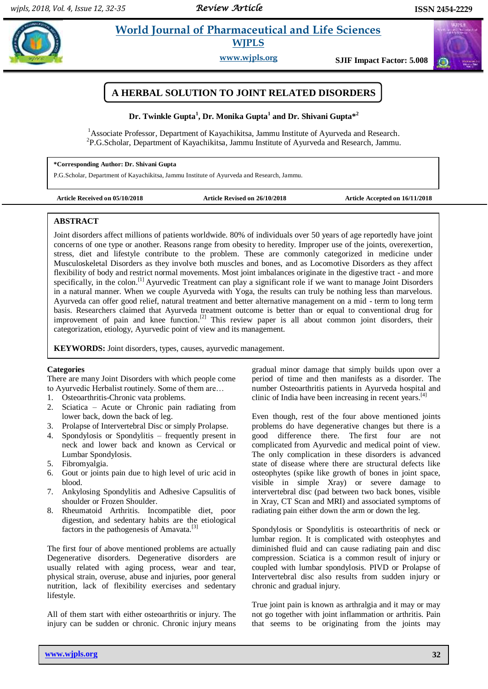# **EXAMPLE 2018 ISSUED 2018 ISSUED 2018 ISSUED 2018 ISSUED 2018 ISSUED 2018 ISSUED 2018 ISSUED 2018 ISSUED 2018 ISSUED 2019 ISSUED 2019 ISSUED 2019 ISSUED 2019 ISSUED 2019 ISSUED 2019 ISSUED 2019 ISSUED 2019 ISSUED 2019 ISSU WJPLS**

**www.wjpls.org SJIF Impact Factor: 5.008**

# **A HERBAL SOLUTION TO JOINT RELATED DISORDERS**

# **Dr. Twinkle Gupta<sup>1</sup> , Dr. Monika Gupta<sup>1</sup> and Dr. Shivani Gupta\*<sup>2</sup>**

<sup>1</sup> Associate Professor, Department of Kayachikitsa, Jammu Institute of Ayurveda and Research. <sup>2</sup>P.G.Scholar, Department of Kayachikitsa, Jammu Institute of Ayurveda and Research, Jammu.

### **\*Corresponding Author: Dr. Shivani Gupta**

P.G.Scholar, Department of Kayachikitsa, Jammu Institute of Ayurveda and Research, Jammu.

**Article Received on 05/10/2018 Article Revised on 26/10/2018 Article Accepted on 16/11/2018**

# **ABSTRACT**

Joint disorders affect millions of patients worldwide. 80% of individuals over 50 years of age reportedly have joint concerns of one type or another. Reasons range from obesity to heredity. Improper use of the joints, overexertion, stress, diet and lifestyle contribute to the problem. These are commonly categorized in medicine under Musculoskeletal Disorders as they involve both muscles and bones, and as Locomotive Disorders as they affect flexibility of body and restrict normal movements. Most joint imbalances originate in the digestive tract - and more specifically, in the colon.<sup>[1]</sup> Ayurvedic Treatment can play a significant role if we want to manage Joint Disorders in a natural manner. When we couple Ayurveda with Yoga, the results can truly be nothing less than marvelous. Ayurveda can offer good relief, natural treatment and better alternative management on a mid - term to long term basis. Researchers claimed that Ayurveda treatment outcome is better than or equal to conventional drug for improvement of pain and knee function.<sup>[2]</sup> This review paper is all about common joint disorders, their categorization, etiology, Ayurvedic point of view and its management.

**KEYWORDS:** Joint disorders, types, causes, ayurvedic management.

# **Categories**

There are many Joint Disorders with which people come to Ayurvedic Herbalist routinely. Some of them are…

- 1. Osteoarthritis-Chronic vata problems.
- 2. Sciatica Acute or Chronic pain radiating from lower back, down the back of leg.
- 3. Prolapse of Intervertebral Disc or simply Prolapse.
- 4. Spondylosis or Spondylitis frequently present in neck and lower back and known as Cervical or Lumbar Spondylosis.
- 5. Fibromyalgia.
- 6. Gout or joints pain due to high level of uric acid in blood.
- 7. Ankylosing Spondylitis and Adhesive Capsulitis of shoulder or Frozen Shoulder.
- 8. Rheumatoid Arthritis. Incompatible diet, poor digestion, and sedentary habits are the etiological factors in the pathogenesis of Amavata. $^{[3]}$

The first four of above mentioned problems are actually Degenerative disorders. Degenerative disorders are usually related with aging process, wear and tear, physical strain, overuse, abuse and injuries, poor general nutrition, lack of flexibility exercises and sedentary lifestyle.

All of them start with either osteoarthritis or injury. The injury can be sudden or chronic. Chronic injury means

gradual minor damage that simply builds upon over a period of time and then manifests as a disorder. The number Osteoarthritis patients in Ayurveda hospital and clinic of India have been increasing in recent years.<sup>[4]</sup>

Even though, rest of the four above mentioned joints problems do have degenerative changes but there is a good difference there. The first four are not complicated from Ayurvedic and medical point of view. The only complication in these disorders is advanced state of disease where there are structural defects like osteophytes (spike like growth of bones in joint space, visible in simple Xray) or severe damage to intervertebral disc (pad between two back bones, visible in Xray, CT Scan and MRI) and associated symptoms of radiating pain either down the arm or down the leg.

Spondylosis or Spondylitis is osteoarthritis of neck or lumbar region. It is complicated with osteophytes and diminished fluid and can cause radiating pain and disc compression. Sciatica is a common result of injury or coupled with lumbar spondylosis. PIVD or Prolapse of Intervertebral disc also results from sudden injury or chronic and gradual injury.

True joint pain is known as arthralgia and it may or may not go together with joint inflammation or arthritis. Pain that seems to be originating from the joints may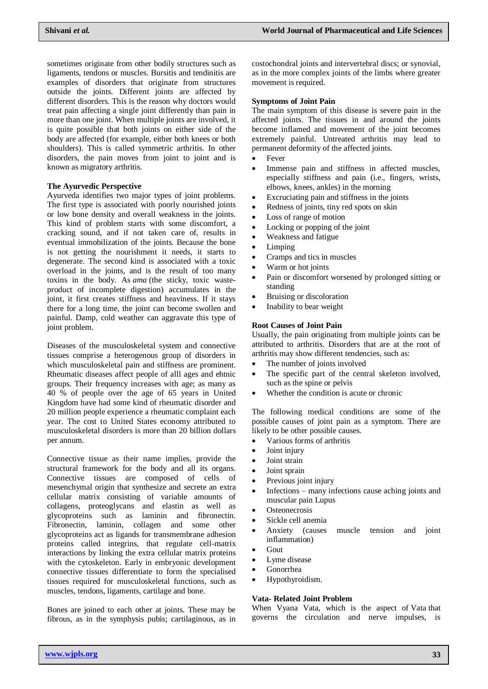sometimes originate from other bodily structures such as ligaments, tendons or muscles. Bursitis and tendinitis are examples of disorders that originate from structures outside the joints. Different joints are affected by different disorders. This is the reason why doctors would treat pain affecting a single joint differently than pain in more than one joint. When multiple joints are involved, it is quite possible that both joints on either side of the body are affected (for example, either both knees or both shoulders). This is called symmetric arthritis. In other disorders, the pain moves from joint to joint and is known as migratory arthritis.

#### **The Ayurvedic Perspective**

Ayurveda identifies two major types of joint problems. The first type is associated with poorly nourished joints or low bone density and overall weakness in the joints. This kind of problem starts with some discomfort, a cracking sound, and if not taken care of, results in eventual immobilization of the joints. Because the bone is not getting the nourishment it needs, it starts to degenerate. The second kind is associated with a toxic overload in the joints, and is the result of too many toxins in the body. As *ama* (the sticky, toxic wasteproduct of incomplete digestion) accumulates in the joint, it first creates stiffness and heaviness. If it stays there for a long time, the joint can become swollen and painful. Damp, cold weather can aggravate this type of joint problem.

Diseases of the musculoskeletal system and connective tissues comprise a heterogenous group of disorders in which musculoskeletal pain and stiffness are prominent. Rheumatic diseases affect people of alll ages and ehtnic groups. Their frequency increases with age; as many as 40 % of people over the age of 65 years in United Kingdom have had some kind of rheumatic disorder and 20 million people experience a rheumatic complaint each year. The cost to United States economy attributed to musculoskeletal disorders is more than 20 billion dollars per annum.

Connective tissue as their name implies, provide the structural framework for the body and all its organs. Connective tissues are composed of cells of mesenchymal origin that synthesize and secrete an extra cellular matrix consisting of variable amounts of collagens, proteoglycans and elastin as well as glycoproteins such as laminin and fibronectin. Fibronectin, laminin, collagen and some other glycoproteins act as ligands for transmembrane adhesion proteins called integrins, that regulate cell-matrix interactions by linking the extra cellular matrix proteins with the cytoskeleton. Early in embryonic development connective tissues differentiate to form the specialised tissues required for musculoskeletal functions, such as muscles, tendons, ligaments, cartilage and bone.

Bones are joined to each other at joints. These may be fibrous, as in the symphysis pubis; cartilaginous, as in costochondral joints and intervertebral discs; or synovial, as in the more complex joints of the limbs where greater movement is required.

### **Symptoms of Joint Pain**

The main symptom of this disease is severe pain in the affected joints. The tissues in and around the joints become inflamed and movement of the joint becomes extremely painful. Untreated arthritis may lead to permanent deformity of the affected joints.

- Fever
- Immense pain and stiffness in affected muscles, especially stiffness and pain (i.e., fingers, wrists, elbows, knees, ankles) in the morning
- Excruciating pain and stiffness in the joints
- Redness of joints, tiny red spots on skin
- Loss of range of motion
- Locking or popping of the joint
- Weakness and fatigue
- Limping
- Cramps and tics in muscles
- Warm or hot joints
- Pain or discomfort worsened by prolonged sitting or standing
- Bruising or discoloration
- Inability to bear weight

## **Root Causes of Joint Pain**

Usually, the pain originating from multiple joints can be attributed to arthritis. Disorders that are at the root of arthritis may show different tendencies, such as:

- The number of joints involved
- The specific part of the central skeleton involved, such as the spine or pelvis
- Whether the condition is acute or chronic

The following medical conditions are some of the possible causes of joint pain as a symptom. There are likely to be other possible causes.

- Various forms of arthritis
- Joint injury
- Joint strain
- Joint sprain
- Previous joint injury
- Infections many infections cause aching joints and muscular pain Lupus
- **Osteonecrosis**
- Sickle cell anemia
- Anxiety (causes muscle tension and joint inflammation)
- Gout
- Lyme disease
- Gonorrhea
- Hypothyroidism.

#### **Vata- Related Joint Problem**

When Vyana Vata, which is the aspect of Vata that governs the circulation and nerve impulses, is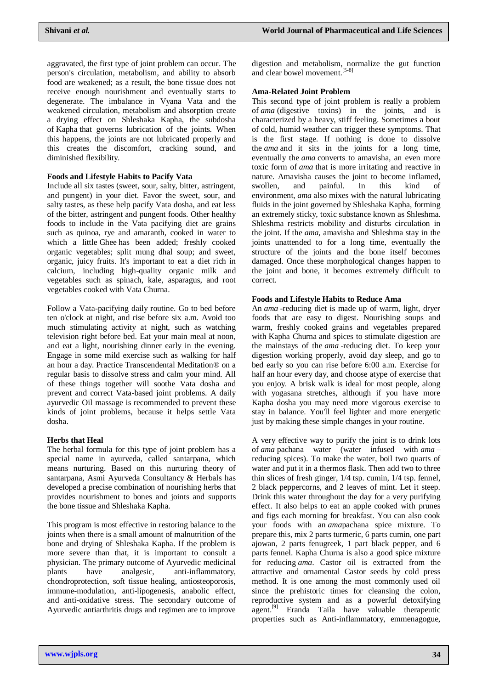aggravated, the first type of joint problem can occur. The person's circulation, metabolism, and ability to absorb food are weakened; as a result, the bone tissue does not receive enough nourishment and eventually starts to degenerate. The imbalance in Vyana Vata and the weakened circulation, metabolism and absorption create a drying effect on Shleshaka Kapha, the subdosha of Kapha that governs lubrication of the joints. When this happens, the joints are not lubricated properly and this creates the discomfort, cracking sound, and diminished flexibility.

# **Foods and Lifestyle Habits to Pacify Vata**

Include all six tastes (sweet, sour, salty, bitter, astringent, and pungent) in your diet. Favor the sweet, sour, and salty tastes, as these help pacify Vata dosha, and eat less of the bitter, astringent and pungent foods. Other healthy foods to include in the Vata pacifying diet are grains such as quinoa, rye and amaranth, cooked in water to which a little Ghee has been added; freshly cooked organic vegetables; split mung dhal soup; and sweet, organic, juicy fruits. It's important to eat a diet rich in calcium, including high-quality organic milk and vegetables such as spinach, kale, asparagus, and root vegetables cooked with Vata Churna.

Follow a Vata-pacifying daily routine. Go to bed before ten o'clock at night, and rise before six a.m. Avoid too much stimulating activity at night, such as watching television right before bed. Eat your main meal at noon, and eat a light, nourishing dinner early in the evening. Engage in some mild exercise such as walking for half an hour a day. Practice Transcendental Meditation® on a regular basis to dissolve stress and calm your mind. All of these things together will soothe Vata dosha and prevent and correct Vata-based joint problems. A daily ayurvedic Oil massage is recommended to prevent these kinds of joint problems, because it helps settle Vata dosha.

# **Herbs that Heal**

The herbal formula for this type of joint problem has a special name in ayurveda, called santarpana, which means nurturing. Based on this nurturing theory of santarpana, Asmi Ayurveda Consultancy & Herbals has developed a precise combination of nourishing herbs that provides nourishment to bones and joints and supports the bone tissue and Shleshaka Kapha.

This program is most effective in restoring balance to the joints when there is a small amount of malnutrition of the bone and drying of Shleshaka Kapha. If the problem is more severe than that, it is important to consult a physician. The primary outcome of Ayurvedic medicinal plants have analgesic, anti-inflammatory, chondroprotection, soft tissue healing, antiosteoporosis, immune-modulation, anti-lipogenesis, anabolic effect, and anti-oxidative stress. The secondary outcome of Ayurvedic antiarthritis drugs and regimen are to improve

digestion and metabolism, normalize the gut function and clear bowel movement. [5-8]

# **Ama-Related Joint Problem**

This second type of joint problem is really a problem of *ama* (digestive toxins) in the joints, and is characterized by a heavy, stiff feeling. Sometimes a bout of cold, humid weather can trigger these symptoms. That is the first stage. If nothing is done to dissolve the *ama* and it sits in the joints for a long time, eventually the *ama* converts to amavisha, an even more toxic form of *ama* that is more irritating and reactive in nature. Amavisha causes the joint to become inflamed, swollen, and painful. In this kind of environment, *ama* also mixes with the natural lubricating fluids in the joint governed by Shleshaka Kapha, forming an extremely sticky, toxic substance known as Shleshma. Shleshma restricts mobility and disturbs circulation in the joint. If the *ama*, amavisha and Shleshma stay in the joints unattended to for a long time, eventually the structure of the joints and the bone itself becomes damaged. Once these morphological changes happen to the joint and bone, it becomes extremely difficult to correct.

# **Foods and Lifestyle Habits to Reduce Ama**

An *ama* -reducing diet is made up of warm, light, dryer foods that are easy to digest. Nourishing soups and warm, freshly cooked grains and vegetables prepared with Kapha Churna and spices to stimulate digestion are the mainstays of the *ama* -reducing diet. To keep your digestion working properly, avoid day sleep, and go to bed early so you can rise before 6:00 a.m. Exercise for half an hour every day, and choose atype of exercise that you enjoy. A brisk walk is ideal for most people, along with yogasana stretches, although if you have more Kapha dosha you may need more vigorous exercise to stay in balance. You'll feel lighter and more energetic just by making these simple changes in your routine.

A very effective way to purify the joint is to drink lots of *ama* pachana water (water infused with *ama* – reducing spices). To make the water, boil two quarts of water and put it in a thermos flask. Then add two to three thin slices of fresh ginger, 1/4 tsp. cumin, 1/4 tsp. fennel, 2 black peppercorns, and 2 leaves of mint. Let it steep. Drink this water throughout the day for a very purifying effect. It also helps to eat an apple cooked with prunes and figs each morning for breakfast. You can also cook your foods with an *ama*pachana spice mixture. To prepare this, mix 2 parts turmeric, 6 parts cumin, one part ajowan, 2 parts fenugreek, 1 part black pepper, and 6 parts fennel. Kapha Churna is also a good spice mixture for reducing *ama*. Castor oil is extracted from the attractive and ornamental Castor seeds by cold press method. It is one among the most commonly used oil since the prehistoric times for cleansing the colon, reproductive system and as a powerful detoxifying agent.<sup>[9]</sup> Eranda Taila have valuable therapeutic properties such as Anti-inflammatory, emmenagogue,